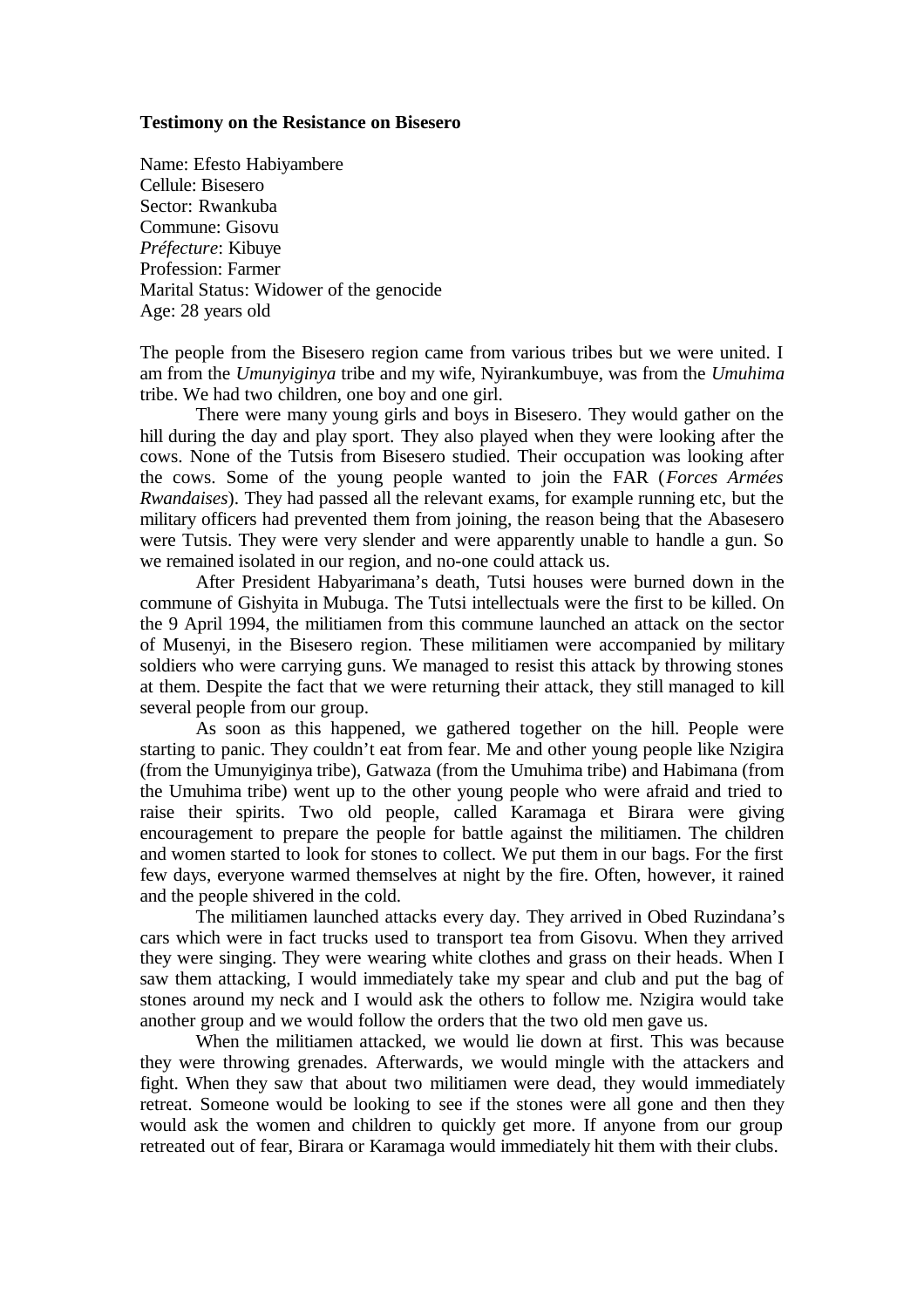## **Testimony on the Resistance on Bisesero**

Name: Efesto Habiyambere Cellule: Bisesero Sector: Rwankuba Commune: Gisovu *Préfecture*: Kibuye Profession: Farmer Marital Status: Widower of the genocide Age: 28 years old

The people from the Bisesero region came from various tribes but we were united. I am from the *Umunyiginya* tribe and my wife, Nyirankumbuye, was from the *Umuhima* tribe. We had two children, one boy and one girl.

There were many young girls and boys in Bisesero. They would gather on the hill during the day and play sport. They also played when they were looking after the cows. None of the Tutsis from Bisesero studied. Their occupation was looking after the cows. Some of the young people wanted to join the FAR (*Forces Armées Rwandaises*). They had passed all the relevant exams, for example running etc, but the military officers had prevented them from joining, the reason being that the Abasesero were Tutsis. They were very slender and were apparently unable to handle a gun. So we remained isolated in our region, and no-one could attack us.

After President Habyarimana's death, Tutsi houses were burned down in the commune of Gishyita in Mubuga. The Tutsi intellectuals were the first to be killed. On the 9 April 1994, the militiamen from this commune launched an attack on the sector of Musenyi, in the Bisesero region. These militiamen were accompanied by military soldiers who were carrying guns. We managed to resist this attack by throwing stones at them. Despite the fact that we were returning their attack, they still managed to kill several people from our group.

As soon as this happened, we gathered together on the hill. People were starting to panic. They couldn't eat from fear. Me and other young people like Nzigira (from the Umunyiginya tribe), Gatwaza (from the Umuhima tribe) and Habimana (from the Umuhima tribe) went up to the other young people who were afraid and tried to raise their spirits. Two old people, called Karamaga et Birara were giving encouragement to prepare the people for battle against the militiamen. The children and women started to look for stones to collect. We put them in our bags. For the first few days, everyone warmed themselves at night by the fire. Often, however, it rained and the people shivered in the cold.

The militiamen launched attacks every day. They arrived in Obed Ruzindana's cars which were in fact trucks used to transport tea from Gisovu. When they arrived they were singing. They were wearing white clothes and grass on their heads. When I saw them attacking, I would immediately take my spear and club and put the bag of stones around my neck and I would ask the others to follow me. Nzigira would take another group and we would follow the orders that the two old men gave us.

When the militiamen attacked, we would lie down at first. This was because they were throwing grenades. Afterwards, we would mingle with the attackers and fight. When they saw that about two militiamen were dead, they would immediately retreat. Someone would be looking to see if the stones were all gone and then they would ask the women and children to quickly get more. If anyone from our group retreated out of fear, Birara or Karamaga would immediately hit them with their clubs.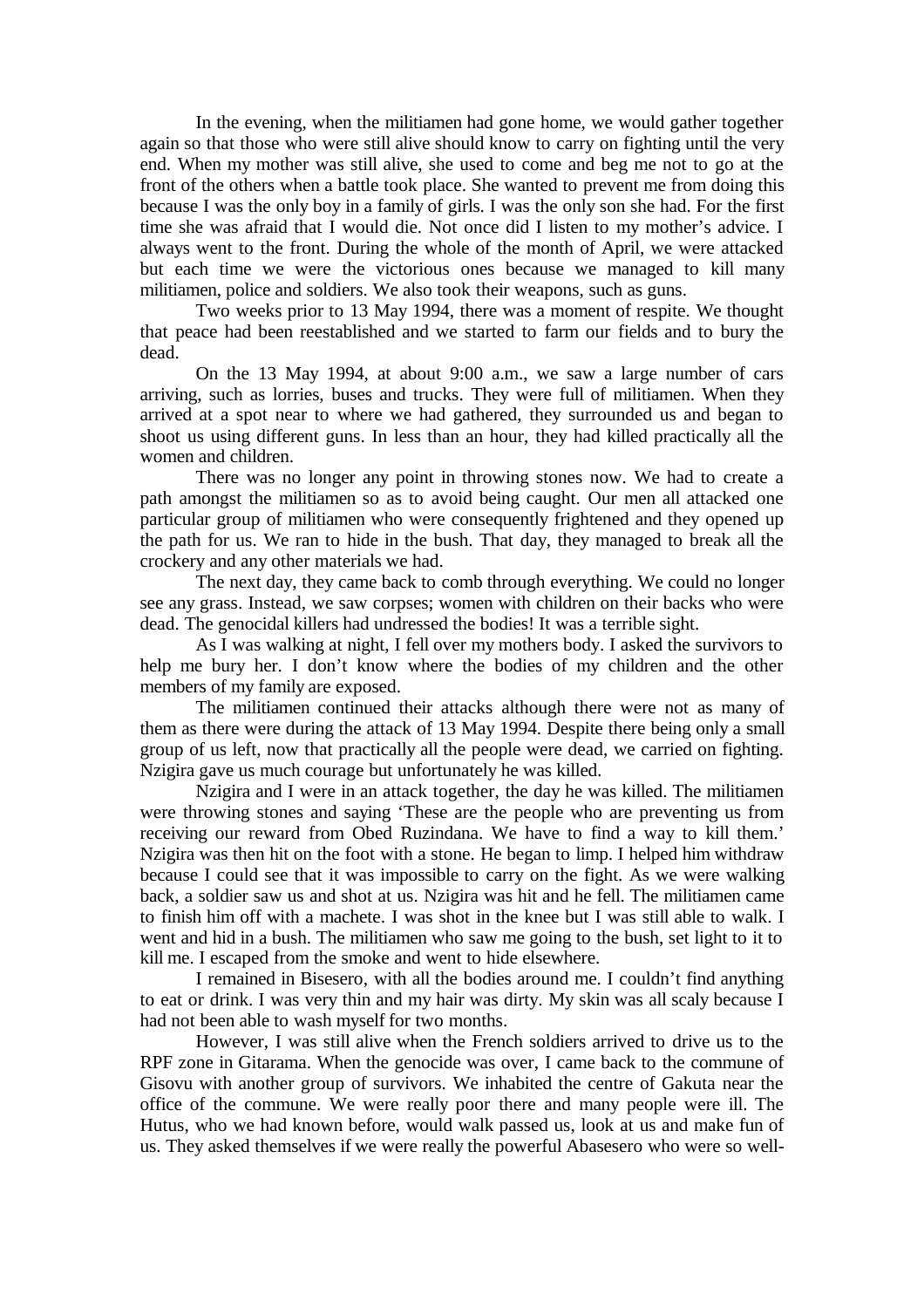In the evening, when the militiamen had gone home, we would gather together again so that those who were still alive should know to carry on fighting until the very end. When my mother was still alive, she used to come and beg me not to go at the front of the others when a battle took place. She wanted to prevent me from doing this because I was the only boy in a family of girls. I was the only son she had. For the first time she was afraid that I would die. Not once did I listen to my mother's advice. I always went to the front. During the whole of the month of April, we were attacked but each time we were the victorious ones because we managed to kill many militiamen, police and soldiers. We also took their weapons, such as guns.

Two weeks prior to 13 May 1994, there was a moment of respite. We thought that peace had been reestablished and we started to farm our fields and to bury the dead.

On the 13 May 1994, at about 9:00 a.m., we saw a large number of cars arriving, such as lorries, buses and trucks. They were full of militiamen. When they arrived at a spot near to where we had gathered, they surrounded us and began to shoot us using different guns. In less than an hour, they had killed practically all the women and children.

There was no longer any point in throwing stones now. We had to create a path amongst the militiamen so as to avoid being caught. Our men all attacked one particular group of militiamen who were consequently frightened and they opened up the path for us. We ran to hide in the bush. That day, they managed to break all the crockery and any other materials we had.

The next day, they came back to comb through everything. We could no longer see any grass. Instead, we saw corpses; women with children on their backs who were dead. The genocidal killers had undressed the bodies! It was a terrible sight.

As I was walking at night, I fell over my mothers body. I asked the survivors to help me bury her. I don't know where the bodies of my children and the other members of my family are exposed.

The militiamen continued their attacks although there were not as many of them as there were during the attack of 13 May 1994. Despite there being only a small group of us left, now that practically all the people were dead, we carried on fighting. Nzigira gave us much courage but unfortunately he was killed.

Nzigira and I were in an attack together, the day he was killed. The militiamen were throwing stones and saying 'These are the people who are preventing us from receiving our reward from Obed Ruzindana. We have to find a way to kill them.' Nzigira was then hit on the foot with a stone. He began to limp. I helped him withdraw because I could see that it was impossible to carry on the fight. As we were walking back, a soldier saw us and shot at us. Nzigira was hit and he fell. The militiamen came to finish him off with a machete. I was shot in the knee but I was still able to walk. I went and hid in a bush. The militiamen who saw me going to the bush, set light to it to kill me. I escaped from the smoke and went to hide elsewhere.

I remained in Bisesero, with all the bodies around me. I couldn't find anything to eat or drink. I was very thin and my hair was dirty. My skin was all scaly because I had not been able to wash myself for two months.

However, I was still alive when the French soldiers arrived to drive us to the RPF zone in Gitarama. When the genocide was over, I came back to the commune of Gisovu with another group of survivors. We inhabited the centre of Gakuta near the office of the commune. We were really poor there and many people were ill. The Hutus, who we had known before, would walk passed us, look at us and make fun of us. They asked themselves if we were really the powerful Abasesero who were so well